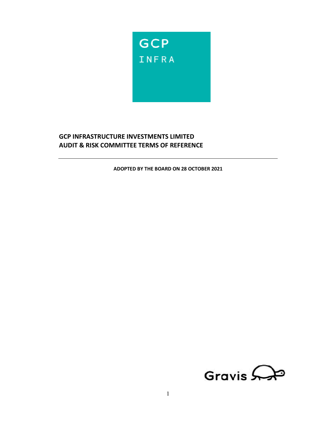

# **GCP INFRASTRUCTURE INVESTMENTS LIMITED AUDIT & RISK COMMITTEE TERMS OF REFERENCE**

**ADOPTED BY THE BOARD ON 28 OCTOBER 2021** 

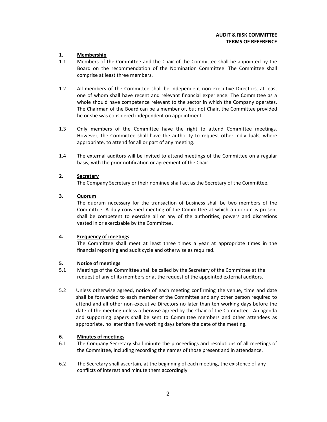# **AUDIT & RISK COMMITTEE TERMS OF REFERENCE**

# **1. Membership**

- 1.1 Members of the Committee and the Chair of the Committee shall be appointed by the Board on the recommendation of the Nomination Committee. The Committee shall comprise at least three members.
- 1.2 All members of the Committee shall be independent non-executive Directors, at least one of whom shall have recent and relevant financial experience. The Committee as a whole should have competence relevant to the sector in which the Company operates. The Chairman of the Board can be a member of, but not Chair, the Committee provided he or she was considered independent on appointment.
- 1.3 Only members of the Committee have the right to attend Committee meetings. However, the Committee shall have the authority to request other individuals, where appropriate, to attend for all or part of any meeting.
- 1.4 The external auditors will be invited to attend meetings of the Committee on a regular basis, with the prior notification or agreement of the Chair.

# **2. Secretary**

The Company Secretary or their nominee shall act as the Secretary of the Committee.

# **3. Quorum**

 The quorum necessary for the transaction of business shall be two members of the Committee. A duly convened meeting of the Committee at which a quorum is present shall be competent to exercise all or any of the authorities, powers and discretions vested in or exercisable by the Committee.

## **4. Frequency of meetings**

 The Committee shall meet at least three times a year at appropriate times in the financial reporting and audit cycle and otherwise as required.

## **5. Notice of meetings**

- 5.1 Meetings of the Committee shall be called by the Secretary of the Committee at the request of any of its members or at the request of the appointed external auditors.
- 5.2 Unless otherwise agreed, notice of each meeting confirming the venue, time and date shall be forwarded to each member of the Committee and any other person required to attend and all other non-executive Directors no later than ten working days before the date of the meeting unless otherwise agreed by the Chair of the Committee. An agenda and supporting papers shall be sent to Committee members and other attendees as appropriate, no later than five working days before the date of the meeting.

## **6. Minutes of meetings**

- 6.1 The Company Secretary shall minute the proceedings and resolutions of all meetings of the Committee, including recording the names of those present and in attendance.
- 6.2 The Secretary shall ascertain, at the beginning of each meeting, the existence of any conflicts of interest and minute them accordingly.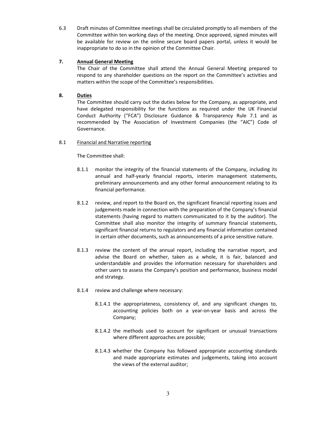6.3 Draft minutes of Committee meetings shall be circulated promptly to all members of the Committee within ten working days of the meeting. Once approved, signed minutes will be available for review on the online secure board papers portal, unless it would be inappropriate to do so in the opinion of the Committee Chair.

# **7. Annual General Meeting**

 The Chair of the Committee shall attend the Annual General Meeting prepared to respond to any shareholder questions on the report on the Committee's activities and matters within the scope of the Committee's responsibilities.

# **8. Duties**

 The Committee should carry out the duties below for the Company, as appropriate, and have delegated responsibility for the functions as required under the UK Financial Conduct Authority ("FCA") Disclosure Guidance & Transparency Rule 7.1 and as recommended by The Association of Investment Companies (the "AIC") Code of Governance.

# 8.1 Financial and Narrative reporting

- 8.1.1 monitor the integrity of the financial statements of the Company, including its annual and half-yearly financial reports, interim management statements, preliminary announcements and any other formal announcement relating to its financial performance.
- 8.1.2 review, and report to the Board on, the significant financial reporting issues and judgements made in connection with the preparation of the Company's financial statements (having regard to matters communicated to it by the auditor). The Committee shall also monitor the integrity of summary financial statements, significant financial returns to regulators and any financial information contained in certain other documents, such as announcements of a price sensitive nature.
- 8.1.3 review the content of the annual report, including the narrative report, and advise the Board on whether, taken as a whole, it is fair, balanced and understandable and provides the information necessary for shareholders and other users to assess the Company's position and performance, business model and strategy.
- 8.1.4 review and challenge where necessary:
	- 8.1.4.1 the appropriateness, consistency of, and any significant changes to, accounting policies both on a year-on-year basis and across the Company;
	- 8.1.4.2 the methods used to account for significant or unusual transactions where different approaches are possible;
	- 8.1.4.3 whether the Company has followed appropriate accounting standards and made appropriate estimates and judgements, taking into account the views of the external auditor;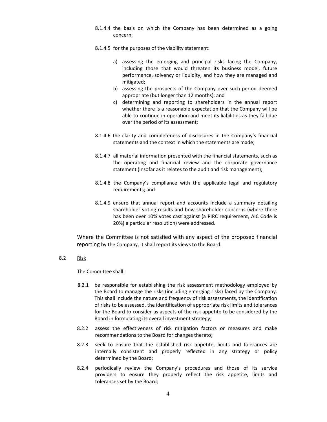- 8.1.4.4 the basis on which the Company has been determined as a going concern;
- 8.1.4.5 for the purposes of the viability statement:
	- a) assessing the emerging and principal risks facing the Company, including those that would threaten its business model, future performance, solvency or liquidity, and how they are managed and mitigated;
	- b) assessing the prospects of the Company over such period deemed appropriate (but longer than 12 months); and
	- c) determining and reporting to shareholders in the annual report whether there is a reasonable expectation that the Company will be able to continue in operation and meet its liabilities as they fall due over the period of its assessment;
- 8.1.4.6 the clarity and completeness of disclosures in the Company's financial statements and the context in which the statements are made;
- 8.1.4.7 all material information presented with the financial statements, such as the operating and financial review and the corporate governance statement (insofar as it relates to the audit and risk management);
- 8.1.4.8 the Company's compliance with the applicable legal and regulatory requirements; and
- 8.1.4.9 ensure that annual report and accounts include a summary detailing shareholder voting results and how shareholder concerns (where there has been over 10% votes cast against (a PIRC requirement, AIC Code is 20%) a particular resolution) were addressed.

Where the Committee is not satisfied with any aspect of the proposed financial reporting by the Company, it shall report its views to the Board.

8.2 Risk

- 8.2.1 be responsible for establishing the risk assessment methodology employed by the Board to manage the risks (including emerging risks) faced by the Company. This shall include the nature and frequency of risk assessments, the identification of risks to be assessed, the identification of appropriate risk limits and tolerances for the Board to consider as aspects of the risk appetite to be considered by the Board in formulating its overall investment strategy;
- 8.2.2 assess the effectiveness of risk mitigation factors or measures and make recommendations to the Board for changes thereto;
- 8.2.3 seek to ensure that the established risk appetite, limits and tolerances are internally consistent and properly reflected in any strategy or policy determined by the Board;
- 8.2.4 periodically review the Company's procedures and those of its service providers to ensure they properly reflect the risk appetite, limits and tolerances set by the Board;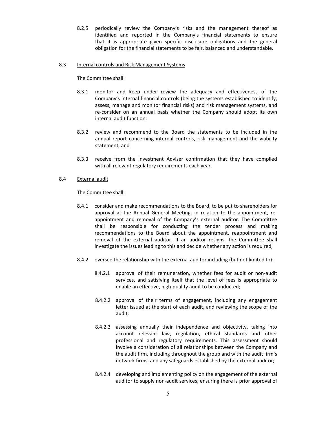8.2.5 periodically review the Company's risks and the management thereof as identified and reported in the Company's financial statements to ensure that it is appropriate given specific disclosure obligations and the general obligation for the financial statements to be fair, balanced and understandable.

#### 8.3 Internal controls and Risk Management Systems

The Committee shall:

- 8.3.1 monitor and keep under review the adequacy and effectiveness of the Company's internal financial controls (being the systems established to identify, assess, manage and monitor financial risks) and risk management systems, and re-consider on an annual basis whether the Company should adopt its own internal audit function;
- 8.3.2 review and recommend to the Board the statements to be included in the annual report concerning internal controls, risk management and the viability statement; and
- 8.3.3 receive from the Investment Adviser confirmation that they have complied with all relevant regulatory requirements each year.

## 8.4 External audit

- 8.4.1 consider and make recommendations to the Board, to be put to shareholders for approval at the Annual General Meeting, in relation to the appointment, reappointment and removal of the Company's external auditor. The Committee shall be responsible for conducting the tender process and making recommendations to the Board about the appointment, reappointment and removal of the external auditor. If an auditor resigns, the Committee shall investigate the issues leading to this and decide whether any action is required;
- 8.4.2 oversee the relationship with the external auditor including (but not limited to):
	- 8.4.2.1 approval of their remuneration, whether fees for audit or non-audit services, and satisfying itself that the level of fees is appropriate to enable an effective, high-quality audit to be conducted;
	- 8.4.2.2 approval of their terms of engagement, including any engagement letter issued at the start of each audit, and reviewing the scope of the audit;
	- 8.4.2.3 assessing annually their independence and objectivity, taking into account relevant law, regulation, ethical standards and other professional and regulatory requirements. This assessment should involve a consideration of all relationships between the Company and the audit firm, including throughout the group and with the audit firm's network firms, and any safeguards established by the external auditor;
	- 8.4.2.4 developing and implementing policy on the engagement of the external auditor to supply non-audit services, ensuring there is prior approval of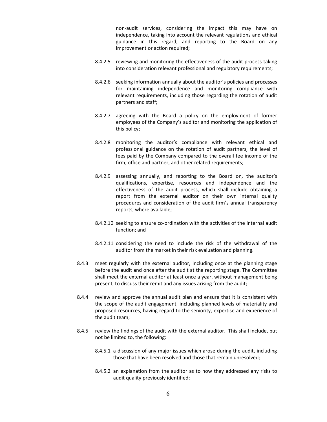non-audit services, considering the impact this may have on independence, taking into account the relevant regulations and ethical guidance in this regard, and reporting to the Board on any improvement or action required;

- 8.4.2.5 reviewing and monitoring the effectiveness of the audit process taking into consideration relevant professional and regulatory requirements;
- 8.4.2.6 seeking information annually about the auditor's policies and processes for maintaining independence and monitoring compliance with relevant requirements, including those regarding the rotation of audit partners and staff;
- 8.4.2.7 agreeing with the Board a policy on the employment of former employees of the Company's auditor and monitoring the application of this policy;
- 8.4.2.8 monitoring the auditor's compliance with relevant ethical and professional guidance on the rotation of audit partners, the level of fees paid by the Company compared to the overall fee income of the firm, office and partner, and other related requirements;
- 8.4.2.9 assessing annually, and reporting to the Board on, the auditor's qualifications, expertise, resources and independence and the effectiveness of the audit process, which shall include obtaining a report from the external auditor on their own internal quality procedures and consideration of the audit firm's annual transparency reports, where available;
- 8.4.2.10 seeking to ensure co-ordination with the activities of the internal audit function; and
- 8.4.2.11 considering the need to include the risk of the withdrawal of the auditor from the market in their risk evaluation and planning.
- 8.4.3 meet regularly with the external auditor, including once at the planning stage before the audit and once after the audit at the reporting stage. The Committee shall meet the external auditor at least once a year, without management being present, to discuss their remit and any issues arising from the audit;
- 8.4.4 review and approve the annual audit plan and ensure that it is consistent with the scope of the audit engagement, including planned levels of materiality and proposed resources, having regard to the seniority, expertise and experience of the audit team;
- 8.4.5 review the findings of the audit with the external auditor. This shall include, but not be limited to, the following:
	- 8.4.5.1 a discussion of any major issues which arose during the audit, including those that have been resolved and those that remain unresolved;
	- 8.4.5.2 an explanation from the auditor as to how they addressed any risks to audit quality previously identified;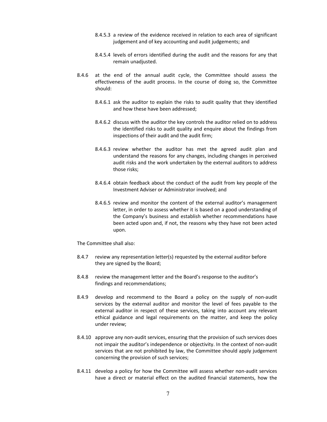- 8.4.5.3 a review of the evidence received in relation to each area of significant judgement and of key accounting and audit judgements; and
- 8.4.5.4 levels of errors identified during the audit and the reasons for any that remain unadjusted.
- 8.4.6 at the end of the annual audit cycle, the Committee should assess the effectiveness of the audit process. In the course of doing so, the Committee should:
	- 8.4.6.1 ask the auditor to explain the risks to audit quality that they identified and how these have been addressed;
	- 8.4.6.2 discuss with the auditor the key controls the auditor relied on to address the identified risks to audit quality and enquire about the findings from inspections of their audit and the audit firm;
	- 8.4.6.3 review whether the auditor has met the agreed audit plan and understand the reasons for any changes, including changes in perceived audit risks and the work undertaken by the external auditors to address those risks;
	- 8.4.6.4 obtain feedback about the conduct of the audit from key people of the Investment Adviser or Administrator involved; and
	- 8.4.6.5 review and monitor the content of the external auditor's management letter, in order to assess whether it is based on a good understanding of the Company's business and establish whether recommendations have been acted upon and, if not, the reasons why they have not been acted upon.

The Committee shall also:

- 8.4.7 review any representation letter(s) requested by the external auditor before they are signed by the Board;
- 8.4.8 review the management letter and the Board's response to the auditor's findings and recommendations;
- 8.4.9 develop and recommend to the Board a policy on the supply of non-audit services by the external auditor and monitor the level of fees payable to the external auditor in respect of these services, taking into account any relevant ethical guidance and legal requirements on the matter, and keep the policy under review;
- 8.4.10 approve any non-audit services, ensuring that the provision of such services does not impair the auditor's independence or objectivity. In the context of non-audit services that are not prohibited by law, the Committee should apply judgement concerning the provision of such services;
- 8.4.11 develop a policy for how the Committee will assess whether non-audit services have a direct or material effect on the audited financial statements, how the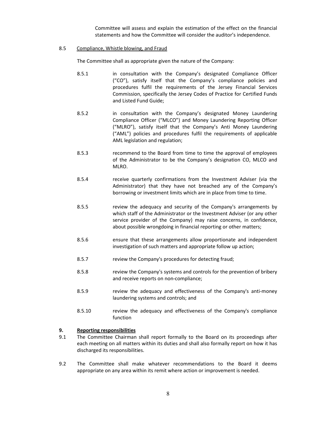Committee will assess and explain the estimation of the effect on the financial statements and how the Committee will consider the auditor's independence.

#### 8.5 Compliance, Whistle blowing, and Fraud

The Committee shall as appropriate given the nature of the Company:

- 8.5.1 in consultation with the Company's designated Compliance Officer ("CO"), satisfy itself that the Company's compliance policies and procedures fulfil the requirements of the Jersey Financial Services Commission, specifically the Jersey Codes of Practice for Certified Funds and Listed Fund Guide;
- 8.5.2 in consultation with the Company's designated Money Laundering Compliance Officer ("MLCO") and Money Laundering Reporting Officer ("MLRO"), satisfy itself that the Company's Anti Money Laundering ("AML") policies and procedures fulfil the requirements of applicable AML legislation and regulation;
- 8.5.3 recommend to the Board from time to time the approval of employees of the Administrator to be the Company's designation CO, MLCO and MLRO.
- 8.5.4 receive quarterly confirmations from the Investment Adviser (via the Administrator) that they have not breached any of the Company's borrowing or investment limits which are in place from time to time.
- 8.5.5 review the adequacy and security of the Company's arrangements by which staff of the Administrator or the Investment Adviser (or any other service provider of the Company) may raise concerns, in confidence, about possible wrongdoing in financial reporting or other matters;
- 8.5.6 ensure that these arrangements allow proportionate and independent investigation of such matters and appropriate follow up action;
- 8.5.7 review the Company's procedures for detecting fraud;
- 8.5.8 review the Company's systems and controls for the prevention of bribery and receive reports on non-compliance;
- 8.5.9 review the adequacy and effectiveness of the Company's anti-money laundering systems and controls; and
- 8.5.10 review the adequacy and effectiveness of the Company's compliance function

## **9. Reporting responsibilities**

- 9.1 The Committee Chairman shall report formally to the Board on its proceedings after each meeting on all matters within its duties and shall also formally report on how it has discharged its responsibilities.
- 9.2 The Committee shall make whatever recommendations to the Board it deems appropriate on any area within its remit where action or improvement is needed.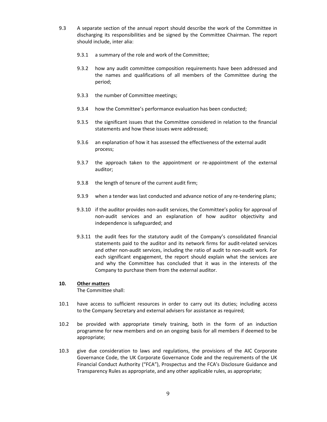- 9.3 A separate section of the annual report should describe the work of the Committee in discharging its responsibilities and be signed by the Committee Chairman. The report should include, inter alia:
	- 9.3.1 a summary of the role and work of the Committee;
	- 9.3.2 how any audit committee composition requirements have been addressed and the names and qualifications of all members of the Committee during the period;
	- 9.3.3 the number of Committee meetings;
	- 9.3.4 how the Committee's performance evaluation has been conducted;
	- 9.3.5 the significant issues that the Committee considered in relation to the financial statements and how these issues were addressed;
	- 9.3.6 an explanation of how it has assessed the effectiveness of the external audit process;
	- 9.3.7 the approach taken to the appointment or re-appointment of the external auditor;
	- 9.3.8 the length of tenure of the current audit firm;
	- 9.3.9 when a tender was last conducted and advance notice of any re-tendering plans;
	- 9.3.10 if the auditor provides non-audit services, the Committee's policy for approval of non-audit services and an explanation of how auditor objectivity and independence is safeguarded; and
	- 9.3.11 the audit fees for the statutory audit of the Company's consolidated financial statements paid to the auditor and its network firms for audit-related services and other non-audit services, including the ratio of audit to non-audit work. For each significant engagement, the report should explain what the services are and why the Committee has concluded that it was in the interests of the Company to purchase them from the external auditor.

## **10. Other matters**

- 10.1 have access to sufficient resources in order to carry out its duties; including access to the Company Secretary and external advisers for assistance as required;
- 10.2 be provided with appropriate timely training, both in the form of an induction programme for new members and on an ongoing basis for all members if deemed to be appropriate;
- 10.3 give due consideration to laws and regulations, the provisions of the AIC Corporate Governance Code, the UK Corporate Governance Code and the requirements of the UK Financial Conduct Authority ("FCA"), Prospectus and the FCA's Disclosure Guidance and Transparency Rules as appropriate, and any other applicable rules, as appropriate;